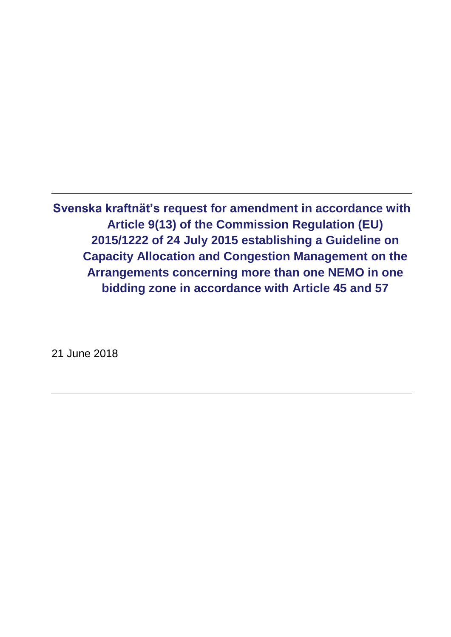**Svenska kraftnät's request for amendment in accordance with Article 9(13) of the Commission Regulation (EU) 2015/1222 of 24 July 2015 establishing a Guideline on Capacity Allocation and Congestion Management on the Arrangements concerning more than one NEMO in one bidding zone in accordance with Article 45 and 57**

21 June 2018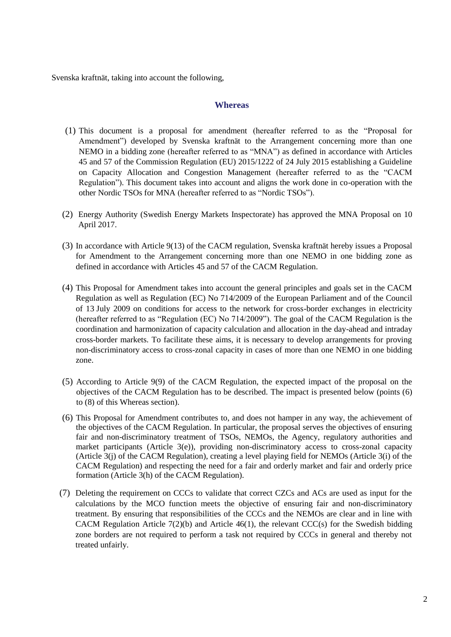Svenska kraftnät, taking into account the following,

### **Whereas**

- (1) This document is a proposal for amendment (hereafter referred to as the "Proposal for Amendment") developed by Svenska kraftnät to the Arrangement concerning more than one NEMO in a bidding zone (hereafter referred to as "MNA") as defined in accordance with Articles 45 and 57 of the Commission Regulation (EU) 2015/1222 of 24 July 2015 establishing a Guideline on Capacity Allocation and Congestion Management (hereafter referred to as the "CACM Regulation"). This document takes into account and aligns the work done in co-operation with the other Nordic TSOs for MNA (hereafter referred to as "Nordic TSOs").
- (2) Energy Authority (Swedish Energy Markets Inspectorate) has approved the MNA Proposal on 10 April 2017.
- (3) In accordance with Article 9(13) of the CACM regulation, Svenska kraftnät hereby issues a Proposal for Amendment to the Arrangement concerning more than one NEMO in one bidding zone as defined in accordance with Articles 45 and 57 of the CACM Regulation.
- (4) This Proposal for Amendment takes into account the general principles and goals set in the CACM Regulation as well as Regulation (EC) No 714/2009 of the European Parliament and of the Council of 13 July 2009 on conditions for access to the network for cross-border exchanges in electricity (hereafter referred to as "Regulation (EC) No 714/2009"). The goal of the CACM Regulation is the coordination and harmonization of capacity calculation and allocation in the day-ahead and intraday cross-border markets. To facilitate these aims, it is necessary to develop arrangements for proving non-discriminatory access to cross-zonal capacity in cases of more than one NEMO in one bidding zone.
- (5) According to Article 9(9) of the CACM Regulation, the expected impact of the proposal on the objectives of the CACM Regulation has to be described. The impact is presented below (points (6) to (8) of this Whereas section).
- (6) This Proposal for Amendment contributes to, and does not hamper in any way, the achievement of the objectives of the CACM Regulation. In particular, the proposal serves the objectives of ensuring fair and non-discriminatory treatment of TSOs, NEMOs, the Agency, regulatory authorities and market participants (Article 3(e)), providing non-discriminatory access to cross-zonal capacity (Article 3(j) of the CACM Regulation), creating a level playing field for NEMOs (Article 3(i) of the CACM Regulation) and respecting the need for a fair and orderly market and fair and orderly price formation (Article 3(h) of the CACM Regulation).
- (7) Deleting the requirement on CCCs to validate that correct CZCs and ACs are used as input for the calculations by the MCO function meets the objective of ensuring fair and non-discriminatory treatment. By ensuring that responsibilities of the CCCs and the NEMOs are clear and in line with CACM Regulation Article  $7(2)(b)$  and Article  $46(1)$ , the relevant CCC(s) for the Swedish bidding zone borders are not required to perform a task not required by CCCs in general and thereby not treated unfairly.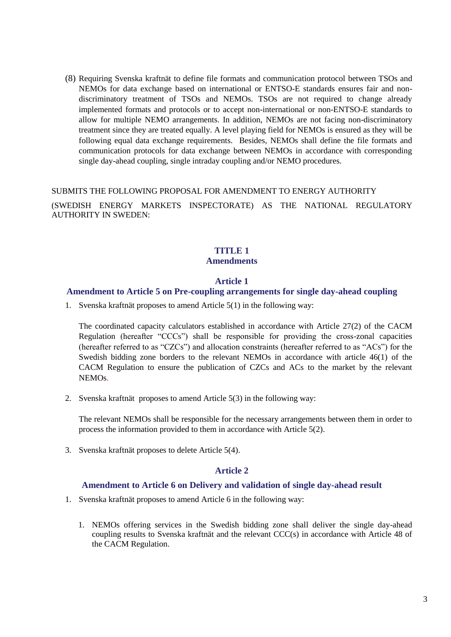(8) Requiring Svenska kraftnät to define file formats and communication protocol between TSOs and NEMOs for data exchange based on international or ENTSO-E standards ensures fair and nondiscriminatory treatment of TSOs and NEMOs. TSOs are not required to change already implemented formats and protocols or to accept non-international or non-ENTSO-E standards to allow for multiple NEMO arrangements. In addition, NEMOs are not facing non-discriminatory treatment since they are treated equally. A level playing field for NEMOs is ensured as they will be following equal data exchange requirements. Besides, NEMOs shall define the file formats and communication protocols for data exchange between NEMOs in accordance with corresponding single day-ahead coupling, single intraday coupling and/or NEMO procedures.

#### SUBMITS THE FOLLOWING PROPOSAL FOR AMENDMENT TO ENERGY AUTHORITY

(SWEDISH ENERGY MARKETS INSPECTORATE) AS THE NATIONAL REGULATORY AUTHORITY IN SWEDEN:

### **TITLE 1 Amendments**

#### **Article 1**

#### **Amendment to Article 5 on Pre-coupling arrangements for single day-ahead coupling**

1. Svenska kraftnät proposes to amend Article 5(1) in the following way:

The coordinated capacity calculators established in accordance with Article 27(2) of the CACM Regulation (hereafter "CCCs") shall be responsible for providing the cross-zonal capacities (hereafter referred to as "CZCs") and allocation constraints (hereafter referred to as "ACs") for the Swedish bidding zone borders to the relevant NEMOs in accordance with article 46(1) of the CACM Regulation to ensure the publication of CZCs and ACs to the market by the relevant NEMOs.

2. Svenska kraftnät proposes to amend Article 5(3) in the following way:

The relevant NEMOs shall be responsible for the necessary arrangements between them in order to process the information provided to them in accordance with Article 5(2).

3. Svenska kraftnät proposes to delete Article 5(4).

### **Article 2**

## **Amendment to Article 6 on Delivery and validation of single day-ahead result**

- 1. Svenska kraftnät proposes to amend Article 6 in the following way:
	- 1. NEMOs offering services in the Swedish bidding zone shall deliver the single day-ahead coupling results to Svenska kraftnät and the relevant CCC(s) in accordance with Article 48 of the CACM Regulation.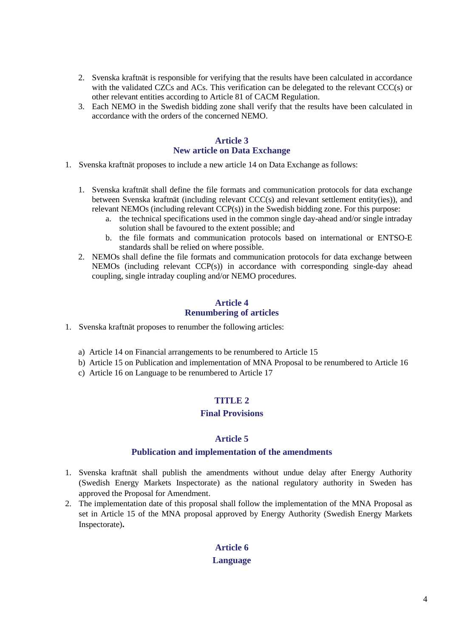- 2. Svenska kraftnät is responsible for verifying that the results have been calculated in accordance with the validated CZCs and ACs. This verification can be delegated to the relevant CCC(s) or other relevant entities according to Article 81 of CACM Regulation.
- 3. Each NEMO in the Swedish bidding zone shall verify that the results have been calculated in accordance with the orders of the concerned NEMO.

### **Article 3 New article on Data Exchange**

- 1. Svenska kraftnät proposes to include a new article 14 on Data Exchange as follows:
	- 1. Svenska kraftnät shall define the file formats and communication protocols for data exchange between Svenska kraftnät (including relevant CCC(s) and relevant settlement entity(ies)), and relevant NEMOs (including relevant CCP(s)) in the Swedish bidding zone. For this purpose:
		- a. the technical specifications used in the common single day-ahead and/or single intraday solution shall be favoured to the extent possible; and
		- b. the file formats and communication protocols based on international or ENTSO-E standards shall be relied on where possible.
	- 2. NEMOs shall define the file formats and communication protocols for data exchange between  $NEMOs$  (including relevant  $CCP(s)$ ) in accordance with corresponding single-day ahead coupling, single intraday coupling and/or NEMO procedures.

### **Article 4 Renumbering of articles**

- 1. Svenska kraftnät proposes to renumber the following articles:
	- a) Article 14 on Financial arrangements to be renumbered to Article 15
	- b) Article 15 on Publication and implementation of MNA Proposal to be renumbered to Article 16
	- c) Article 16 on Language to be renumbered to Article 17

### **TITLE 2**

### **Final Provisions**

### **Article 5**

### **Publication and implementation of the amendments**

- 1. Svenska kraftnät shall publish the amendments without undue delay after Energy Authority (Swedish Energy Markets Inspectorate) as the national regulatory authority in Sweden has approved the Proposal for Amendment.
- 2. The implementation date of this proposal shall follow the implementation of the MNA Proposal as set in Article 15 of the MNA proposal approved by Energy Authority (Swedish Energy Markets Inspectorate)**.**

# **Article 6 Language**